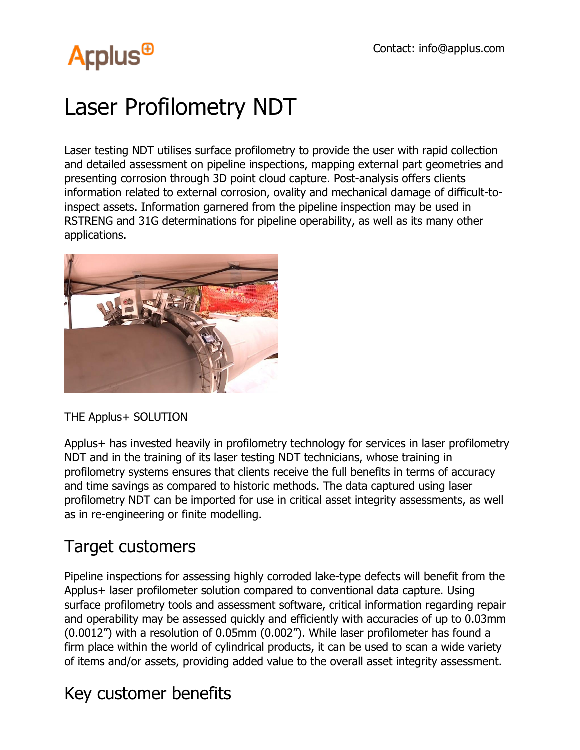## **Arplus<sup>®</sup>**

## Laser Profilometry NDT

Laser testing NDT utilises surface profilometry to provide the user with rapid collection and detailed assessment on pipeline inspections, mapping external part geometries and presenting corrosion through 3D point cloud capture. Post-analysis offers clients information related to external corrosion, ovality and mechanical damage of difficult-toinspect assets. Information garnered from the pipeline inspection may be used in RSTRENG and 31G determinations for pipeline operability, as well as its many other applications.



THE Applus+ SOLUTION

Applus+ has invested heavily in profilometry technology for services in laser profilometry NDT and in the training of its laser testing NDT technicians, whose training in profilometry systems ensures that clients receive the full benefits in terms of accuracy and time savings as compared to historic methods. The data captured using laser profilometry NDT can be imported for use in critical asset integrity assessments, as well as in re-engineering or finite modelling.

## Target customers

Pipeline inspections for assessing highly corroded lake-type defects will benefit from the Applus+ laser profilometer solution compared to conventional data capture. Using surface profilometry tools and assessment software, critical information regarding repair and operability may be assessed quickly and efficiently with accuracies of up to 0.03mm (0.0012") with a resolution of 0.05mm (0.002"). While laser profilometer has found a firm place within the world of cylindrical products, it can be used to scan a wide variety of items and/or assets, providing added value to the overall asset integrity assessment.

## Key customer benefits